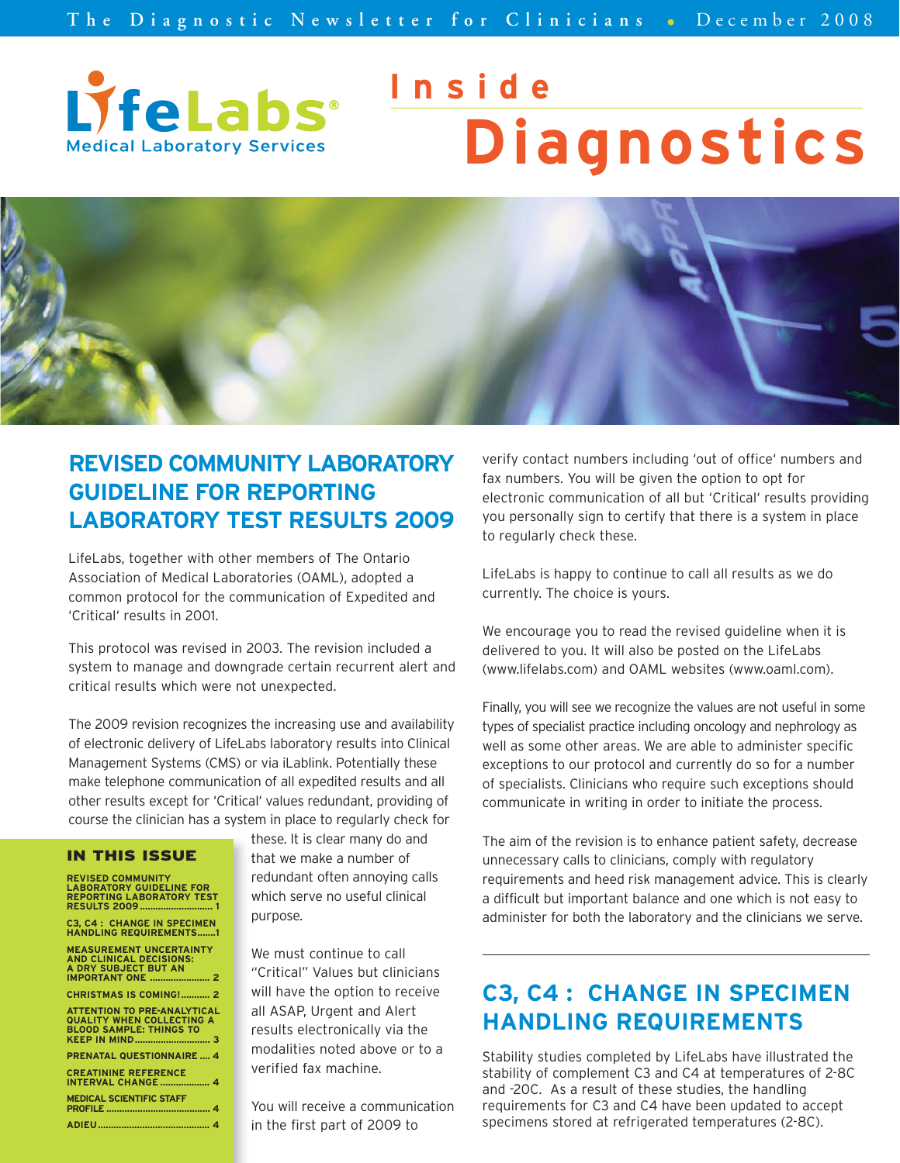

# **Inside Diagnostics**



## **REVISED COMMUNITY LABORATORY GUIDELINE FOR REPORTING LABORATORY TEST RESULTS 2009**

LifeLabs, together with other members of The Ontario Association of Medical Laboratories (OAML), adopted a common protocol for the communication of Expedited and 'Critical' results in 2001.

This protocol was revised in 2003. The revision included a system to manage and downgrade certain recurrent alert and critical results which were not unexpected.

The 2009 revision recognizes the increasing use and availability of electronic delivery of LifeLabs laboratory results into Clinical Management Systems (CMS) or via iLablink. Potentially these make telephone communication of all expedited results and all other results except for 'Critical' values redundant, providing of course the clinician has a system in place to regularly check for

#### IN THIS ISSUE

| <b>REVISED COMMUNITY</b><br><b>LABORATORY GUIDELINE FOR</b><br><b>REPORTING LABORATORY TEST</b>                     |
|---------------------------------------------------------------------------------------------------------------------|
| <b>C3. C4: CHANGE IN SPECIMEN</b><br><b>HANDLING REQUIREMENTS1</b>                                                  |
| <b>MEASUREMENT UNCERTAINTY</b><br><b>AND CLINICAL DECISIONS:</b><br>A DRY SUBJECT BUT AN<br><b>IMPORTANT ONE  2</b> |
| <b>CHRISTMAS IS COMING! 2</b>                                                                                       |
| <b>ATTENTION TO PRE-ANALYTICAL</b><br><b>QUALITY WHEN COLLECTING A</b><br><b>BLOOD SAMPLE: THINGS TO</b>            |
| <b>PRENATAL QUESTIONNAIRE  4</b>                                                                                    |
| <b>CREATININE REFERENCE</b><br><b>INTERVAL CHANGE  4</b>                                                            |
| <b>MEDICAL SCIENTIFIC STAFF</b>                                                                                     |

**ADIEU........................................... 4**

these. It is clear many do and that we make a number of redundant often annoying calls which serve no useful clinical purpose.

We must continue to call "Critical" Values but clinicians will have the option to receive all ASAP, Urgent and Alert results electronically via the modalities noted above or to a verified fax machine.

You will receive a communication in the first part of 2009 to

verify contact numbers including 'out of office' numbers and fax numbers. You will be given the option to opt for electronic communication of all but 'Critical' results providing you personally sign to certify that there is a system in place to regularly check these.

LifeLabs is happy to continue to call all results as we do currently. The choice is yours.

We encourage you to read the revised guideline when it is delivered to you. It will also be posted on the LifeLabs (www.lifelabs.com) and OAML websites (www.oaml.com).

Finally, you will see we recognize the values are not useful in some types of specialist practice including oncology and nephrology as well as some other areas. We are able to administer specific exceptions to our protocol and currently do so for a number of specialists. Clinicians who require such exceptions should communicate in writing in order to initiate the process.

The aim of the revision is to enhance patient safety, decrease unnecessary calls to clinicians, comply with regulatory requirements and heed risk management advice. This is clearly a difficult but important balance and one which is not easy to administer for both the laboratory and the clinicians we serve.

## **C3, C4 : CHANGE IN SPECIMEN HANDLING REQUIREMENTS**

Stability studies completed by LifeLabs have illustrated the stability of complement C3 and C4 at temperatures of 2-8C and -20C. As a result of these studies, the handling requirements for C3 and C4 have been updated to accept specimens stored at refrigerated temperatures (2-8C).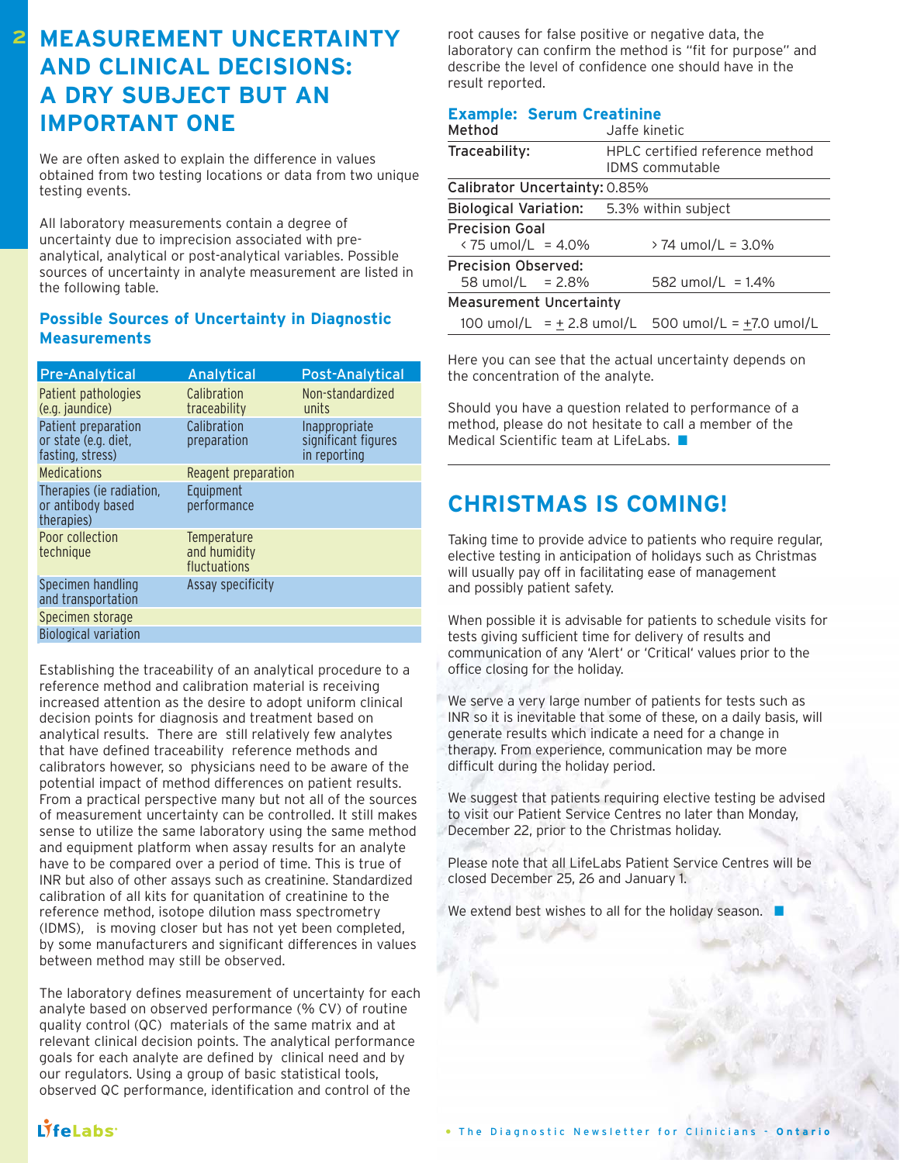## **MEASUREMENT UNCERTAINTY AND CLINICAL DECISIONS: A DRY SUBJECT BUT AN IMPORTANT ONE**

**2**

We are often asked to explain the difference in values obtained from two testing locations or data from two unique testing events.

All laboratory measurements contain a degree of uncertainty due to imprecision associated with preanalytical, analytical or post-analytical variables. Possible sources of uncertainty in analyte measurement are listed in the following table.

#### **Possible Sources of Uncertainty in Diagnostic Measurements**

| <b>Pre-Analytical</b>                                           | Analytical                                  | <b>Post-Analytical</b>                               |
|-----------------------------------------------------------------|---------------------------------------------|------------------------------------------------------|
| Patient pathologies<br>(e.g. jaundice)                          | Calibration<br>traceability                 | Non-standardized<br>units                            |
| Patient preparation<br>or state (e.g. diet,<br>fasting, stress) | Calibration<br>preparation                  | Inappropriate<br>significant figures<br>in reporting |
| <b>Medications</b>                                              | Reagent preparation                         |                                                      |
| Therapies (ie radiation,<br>or antibody based<br>therapies)     | Equipment<br>performance                    |                                                      |
| Poor collection<br>technique                                    | Temperature<br>and humidity<br>fluctuations |                                                      |
| Specimen handling<br>and transportation                         | Assay specificity                           |                                                      |
| Specimen storage                                                |                                             |                                                      |
| <b>Biological variation</b>                                     |                                             |                                                      |

Establishing the traceability of an analytical procedure to a reference method and calibration material is receiving increased attention as the desire to adopt uniform clinical decision points for diagnosis and treatment based on analytical results. There are still relatively few analytes that have defined traceability reference methods and calibrators however, so physicians need to be aware of the potential impact of method differences on patient results. From a practical perspective many but not all of the sources of measurement uncertainty can be controlled. It still makes sense to utilize the same laboratory using the same method and equipment platform when assay results for an analyte have to be compared over a period of time. This is true of INR but also of other assays such as creatinine. Standardized calibration of all kits for quanitation of creatinine to the reference method, isotope dilution mass spectrometry (IDMS), is moving closer but has not yet been completed, by some manufacturers and significant differences in values between method may still be observed.

The laboratory defines measurement of uncertainty for each analyte based on observed performance (% CV) of routine quality control (QC) materials of the same matrix and at relevant clinical decision points. The analytical performance goals for each analyte are defined by clinical need and by our regulators. Using a group of basic statistical tools, observed QC performance, identification and control of the

root causes for false positive or negative data, the laboratory can confirm the method is "fit for purpose" and describe the level of confidence one should have in the result reported.

#### **Example: Serum Creatinine**

| Method                                                                    | Jaffe kinetic                                               |  |  |  |  |
|---------------------------------------------------------------------------|-------------------------------------------------------------|--|--|--|--|
| Traceability:                                                             | HPLC certified reference method<br><b>IDMS</b> commutable   |  |  |  |  |
| Calibrator Uncertainty: 0.85%                                             |                                                             |  |  |  |  |
| Biological Variation: 5.3% within subject                                 |                                                             |  |  |  |  |
| <b>Precision Goal</b><br>$\frac{1}{2}$ / 15 umol/L = 4.0%                 | $> 74$ umol/L = 3.0%                                        |  |  |  |  |
| <b>Precision Observed:</b><br>582 umol/L = $1.4\%$<br>58 umol/L = $2.8\%$ |                                                             |  |  |  |  |
| <b>Measurement Uncertainty</b>                                            |                                                             |  |  |  |  |
|                                                                           | 100 umol/L = $\pm$ 2.8 umol/L 500 umol/L = $\pm$ 7.0 umol/L |  |  |  |  |

Here you can see that the actual uncertainty depends on the concentration of the analyte.

Should you have a question related to performance of a method, please do not hesitate to call a member of the Medical Scientific team at LifeLabs. ■

## **CHRISTMAS IS COMING!**

Taking time to provide advice to patients who require regular, elective testing in anticipation of holidays such as Christmas will usually pay off in facilitating ease of management and possibly patient safety.

When possible it is advisable for patients to schedule visits for tests giving sufficient time for delivery of results and communication of any 'Alert' or 'Critical' values prior to the office closing for the holiday.

We serve a very large number of patients for tests such as INR so it is inevitable that some of these, on a daily basis, will generate results which indicate a need for a change in therapy. From experience, communication may be more difficult during the holiday period.

We suggest that patients requiring elective testing be advised to visit our Patient Service Centres no later than Monday, December 22, prior to the Christmas holiday.

Please note that all LifeLabs Patient Service Centres will be closed December 25, 26 and January 1.

We extend best wishes to all for the holiday season.

 $1$ *i*felabs<sup>-</sup>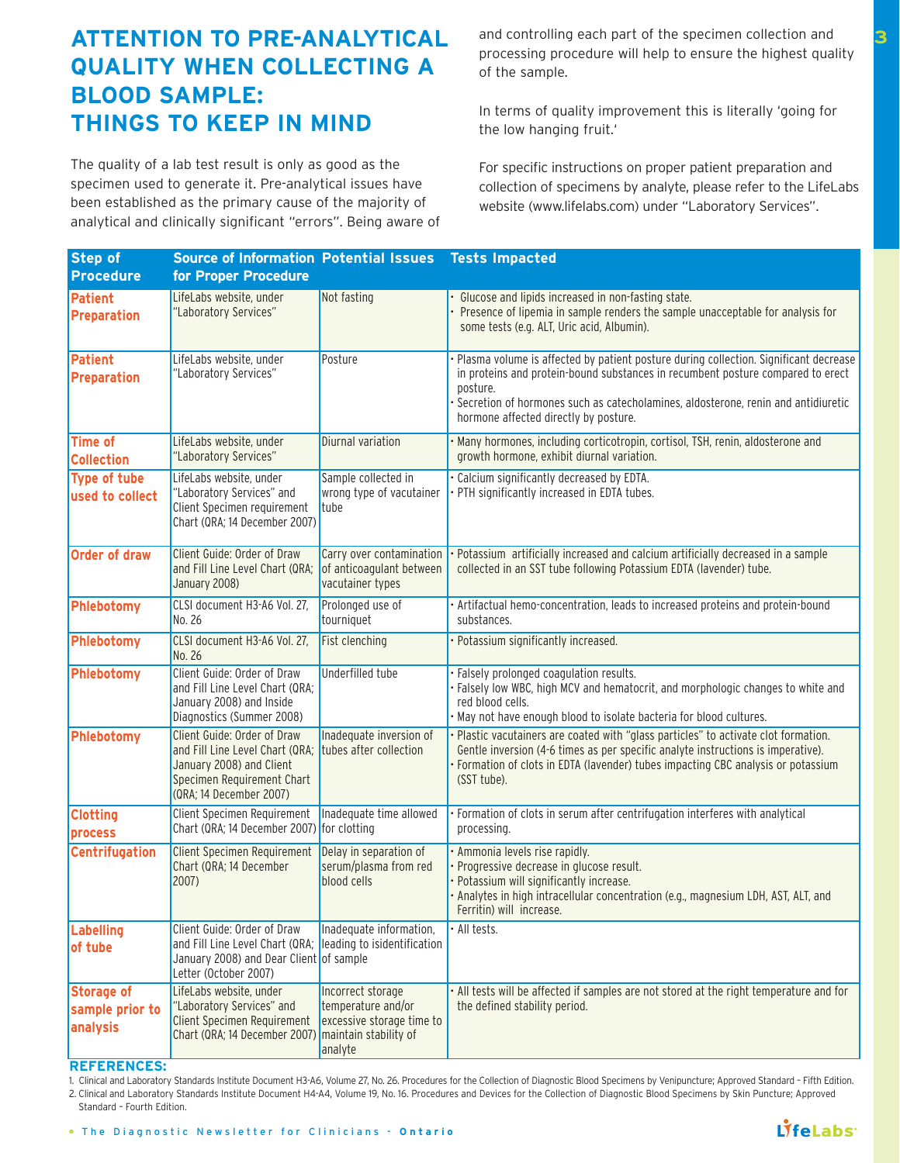## **ATTENTION TO PRE-ANALYTICAL QUALITY WHEN COLLECTING A BLOOD SAMPLE: THINGS TO KEEP IN MIND**

The quality of a lab test result is only as good as the specimen used to generate it. Pre-analytical issues have been established as the primary cause of the majority of analytical and clinically significant "errors". Being aware of and controlling each part of the specimen collection and processing procedure will help to ensure the highest quality of the sample.

In terms of quality improvement this is literally 'going for the low hanging fruit.'

For specific instructions on proper patient preparation and collection of specimens by analyte, please refer to the LifeLabs website (www.lifelabs.com) under "Laboratory Services".

| <b>Step of</b>                                   | <b>Source of Information Potential Issues</b>                                                                                                                              |                                                                                 | <b>Tests Impacted</b>                                                                                                                                                                                                                                                                                             |
|--------------------------------------------------|----------------------------------------------------------------------------------------------------------------------------------------------------------------------------|---------------------------------------------------------------------------------|-------------------------------------------------------------------------------------------------------------------------------------------------------------------------------------------------------------------------------------------------------------------------------------------------------------------|
| <b>Procedure</b>                                 | for Proper Procedure                                                                                                                                                       |                                                                                 |                                                                                                                                                                                                                                                                                                                   |
| <b>Patient</b><br>Preparation                    | LifeLabs website, under<br>'Laboratory Services"                                                                                                                           | Not fasting                                                                     | Glucose and lipids increased in non-fasting state.<br>Presence of lipemia in sample renders the sample unacceptable for analysis for<br>some tests (e.g. ALT, Uric acid, Albumin).                                                                                                                                |
| Patient<br>Preparation                           | LifeLabs website, under<br>'Laboratory Services"                                                                                                                           | Posture                                                                         | Plasma volume is affected by patient posture during collection. Significant decrease<br>in proteins and protein-bound substances in recumbent posture compared to erect<br>posture.<br>Secretion of hormones such as catecholamines, aldosterone, renin and antidiuretic<br>hormone affected directly by posture. |
| <b>Time of</b><br><b>Collection</b>              | LifeLabs website, under<br>"Laboratory Services"                                                                                                                           | Diurnal variation                                                               | Many hormones, including corticotropin, cortisol, TSH, renin, aldosterone and<br>growth hormone, exhibit diurnal variation.                                                                                                                                                                                       |
| <b>Type of tube</b><br>used to collect           | LifeLabs website, under<br>"Laboratory Services" and<br>Client Specimen requirement<br>Chart (QRA; 14 December 2007)                                                       | Sample collected in<br>wrong type of vacutainer<br>tube                         | Calcium significantly decreased by EDTA.<br>PTH significantly increased in EDTA tubes.                                                                                                                                                                                                                            |
| <b>Order of draw</b>                             | Client Guide: Order of Draw<br>and Fill Line Level Chart (QRA;<br>January 2008)                                                                                            | Carry over contamination<br>of anticoagulant between<br>vacutainer types        | Potassium artificially increased and calcium artificially decreased in a sample<br>collected in an SST tube following Potassium EDTA (lavender) tube.                                                                                                                                                             |
| Phlebotomy                                       | CLSI document H3-A6 Vol. 27,<br>No. 26                                                                                                                                     | Prolonged use of<br>tourniquet                                                  | Artifactual hemo-concentration, leads to increased proteins and protein-bound<br>substances.                                                                                                                                                                                                                      |
| Phlebotomy                                       | CLSI document H3-A6 Vol. 27,<br>No. 26                                                                                                                                     | Fist clenching                                                                  | Potassium significantly increased.                                                                                                                                                                                                                                                                                |
| Phlebotomy                                       | Client Guide: Order of Draw<br>and Fill Line Level Chart (QRA;<br>January 2008) and Inside<br>Diagnostics (Summer 2008)                                                    | Underfilled tube                                                                | · Falsely prolonged coagulation results.<br>· Falsely low WBC, high MCV and hematocrit, and morphologic changes to white and<br>red blood cells.<br>May not have enough blood to isolate bacteria for blood cultures.                                                                                             |
| Phlebotomy                                       | Client Guide: Order of Draw<br>and Fill Line Level Chart (QRA; tubes after collection<br>January 2008) and Client<br>Specimen Requirement Chart<br>(QRA; 14 December 2007) | Inadequate inversion of                                                         | Plastic vacutainers are coated with "glass particles" to activate clot formation.<br>Gentle inversion (4-6 times as per specific analyte instructions is imperative).<br>Formation of clots in EDTA (lavender) tubes impacting CBC analysis or potassium<br>(SST tube).                                           |
| <b>Clotting</b><br>process                       | Client Specimen Requirement<br>Chart (QRA; 14 December 2007) for clotting                                                                                                  | Inadequate time allowed                                                         | Formation of clots in serum after centrifugation interferes with analytical<br>processing.                                                                                                                                                                                                                        |
| <b>Centrifugation</b>                            | <b>Client Specimen Requirement</b><br>Chart (QRA; 14 December<br>2007)                                                                                                     | Delay in separation of<br>serum/plasma from red<br>blood cells                  | Ammonia levels rise rapidly.<br>Progressive decrease in glucose result.<br>Potassium will significantly increase.<br>· Analytes in high intracellular concentration (e.g., magnesium LDH, AST, ALT, and<br>Ferritin) will increase.                                                                               |
| Labelling<br>of tube                             | Client Guide: Order of Draw<br>and Fill Line Level Chart (QRA;<br>January 2008) and Dear Client of sample<br>Letter (October 2007)                                         | Inadequate information,<br>leading to isidentification                          | · All tests.                                                                                                                                                                                                                                                                                                      |
| <b>Storage of</b><br>sample prior to<br>analysis | LifeLabs website, under<br>"Laboratory Services" and<br>Client Specimen Requirement<br>Chart (QRA; 14 December 2007) maintain stability of                                 | Incorrect storage<br>temperature and/or<br>excessive storage time to<br>analyte | . All tests will be affected if samples are not stored at the right temperature and for<br>the defined stability period.                                                                                                                                                                                          |

#### **REFERENCES:**

1. Clinical and Laboratory Standards Institute Document H3-A6, Volume 27, No. 26. Procedures for the Collection of Diagnostic Blood Specimens by Venipuncture; Approved Standard – Fifth Edition. 2. Clinical and Laboratory Standards Institute Document H4-A4, Volume 19, No. 16. Procedures and Devices for the Collection of Diagnostic Blood Specimens by Skin Puncture; Approved

Standard – Fourth Edition.